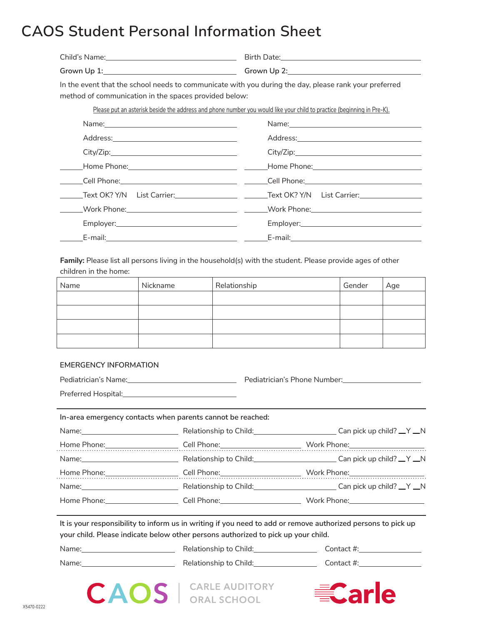## **CAOS Student Personal Information Sheet**

| In the event that the school needs to communicate with you during the day, please rank your preferred<br>method of communication in the spaces provided below:<br>Please put an asterisk beside the address and phone number you would like your child to practice (beginning in Pre-K).<br>City/Zip: |                                                                                                               |     |  |
|-------------------------------------------------------------------------------------------------------------------------------------------------------------------------------------------------------------------------------------------------------------------------------------------------------|---------------------------------------------------------------------------------------------------------------|-----|--|
|                                                                                                                                                                                                                                                                                                       |                                                                                                               |     |  |
|                                                                                                                                                                                                                                                                                                       |                                                                                                               |     |  |
|                                                                                                                                                                                                                                                                                                       |                                                                                                               |     |  |
|                                                                                                                                                                                                                                                                                                       |                                                                                                               |     |  |
|                                                                                                                                                                                                                                                                                                       |                                                                                                               |     |  |
|                                                                                                                                                                                                                                                                                                       | City/Zip:                                                                                                     |     |  |
|                                                                                                                                                                                                                                                                                                       | Home Phone: 1990 - 2008 - 2014 - 2014 - 2014 - 2014 - 2014 - 2014 - 2014 - 2014 - 2014 - 2014 - 2014 - 2014 - |     |  |
|                                                                                                                                                                                                                                                                                                       |                                                                                                               |     |  |
| _____Text OK? Y/N  List Carrier:_____________________________Text OK? Y/N  List Carrier:_________________                                                                                                                                                                                             |                                                                                                               |     |  |
|                                                                                                                                                                                                                                                                                                       |                                                                                                               |     |  |
|                                                                                                                                                                                                                                                                                                       |                                                                                                               |     |  |
|                                                                                                                                                                                                                                                                                                       |                                                                                                               |     |  |
| <b>Family:</b> Please list all persons living in the household(s) with the student. Please provide ages of other<br>children in the home:                                                                                                                                                             |                                                                                                               |     |  |
| Relationship<br>Name<br>Nickname<br>Gender                                                                                                                                                                                                                                                            |                                                                                                               | Age |  |

| Name | Nickname | Relationship | Gender | Age |
|------|----------|--------------|--------|-----|
|      |          |              |        |     |
|      |          |              |        |     |
|      |          |              |        |     |
|      |          |              |        |     |

## **EMERGENCY INFORMATION**

| Pediatrician's Name:<br><u> 1980 - Jan Samuel Barbara, martin a shekara 1980 - An tsara 1980 - An tsara 1980 - An tsara 1980 - An tsara 1</u> |                                                            | Pediatrician's Phone Number:<br>France Communication of Pediatric Phone Number: |  |  |
|-----------------------------------------------------------------------------------------------------------------------------------------------|------------------------------------------------------------|---------------------------------------------------------------------------------|--|--|
|                                                                                                                                               |                                                            |                                                                                 |  |  |
|                                                                                                                                               | In-area emergency contacts when parents cannot be reached: |                                                                                 |  |  |
| Name:                                                                                                                                         | Relationship to Child:                                     | Can pick up child? $Y_N$                                                        |  |  |

|                                                                                                                                                                                                                                |                                                                                                                | Work Phone: $\frac{1}{2}$ Mork Phone:                                                                                                                                                                                          |
|--------------------------------------------------------------------------------------------------------------------------------------------------------------------------------------------------------------------------------|----------------------------------------------------------------------------------------------------------------|--------------------------------------------------------------------------------------------------------------------------------------------------------------------------------------------------------------------------------|
|                                                                                                                                                                                                                                | Relationship to Child: Child: Child: Relationship to Child:                                                    | Can pick up child? $_Y \_Y \_N$                                                                                                                                                                                                |
|                                                                                                                                                                                                                                |                                                                                                                | Work Phone: when the control of the control of the control of the control of the control of the control of the control of the control of the control of the control of the control of the control of the control of the contro |
| Name: when the contract of the contract of the contract of the contract of the contract of the contract of the contract of the contract of the contract of the contract of the contract of the contract of the contract of the | Relationship to Child: 2000 2010 2021                                                                          | $\equiv$ Can pick up child? $\equiv$ Y $\equiv$ N                                                                                                                                                                              |
| Home Phone: The control of the control of the control of the control of the control of the control of the control of the control of the control of the control of the control of the control of the control of the control of  | Cell Phone: will be a series of the control of the control of the control of the control of the control of the | Work Phone: when the control of the control of the control of the control of the control of the control of the control of the control of the control of the control of the control of the control of the control of the contro |

**It is your responsibility to inform us in writing if you need to add or remove authorized persons to pick up your child. Please indicate below other persons authorized to pick up your child.**

| Name: | Relationship to Child: | Contact #: |
|-------|------------------------|------------|
| Name: | Relationship to Child: | Contact #: |

**CAOS** | CARLE AUDITORY